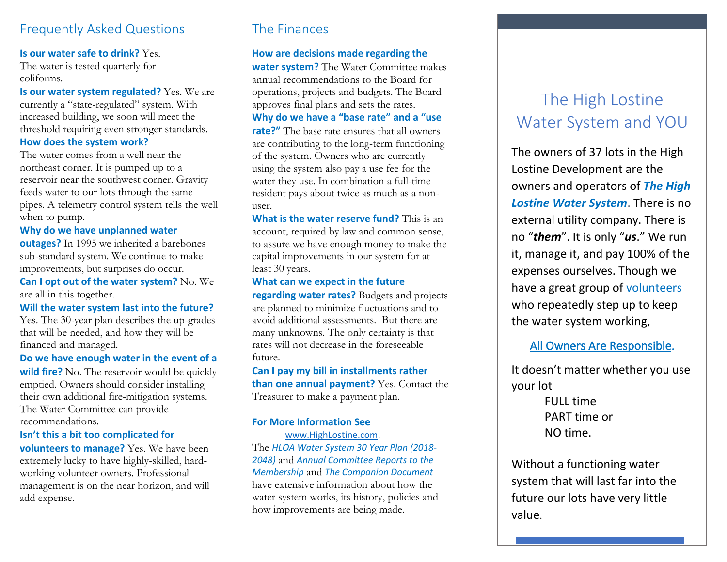# Frequently Asked Questions

#### **Is our water safe to drink?** Yes.

The water is tested quarterly for coliforms.

**Is our water system regulated?** Yes. We are currently a "state-regulated" system. With increased building, we soon will meet the threshold requiring even stronger standards. **How does the system work?**

The water comes from a well near the northeast corner. It is pumped up to a reservoir near the southwest corner. Gravity feeds water to our lots through the same pipes. A telemetry control system tells the well when to pump.

**Why do we have unplanned water** 

**outages?** In 1995 we inherited a barebones sub-standard system. We continue to make improvements, but surprises do occur.

**Can I opt out of the water system?** No. We are all in this together.

**Will the water system last into the future?** Yes. The 30-year plan describes the up-grades that will be needed, and how they will be financed and managed.

**Do we have enough water in the event of a wild fire?** No. The reservoir would be quickly emptied. Owners should consider installing their own additional fire-mitigation systems. The Water Committee can provide recommendations.

### **Isn't this a bit too complicated for**

**volunteers to manage?** Yes. We have been extremely lucky to have highly-skilled, hardworking volunteer owners. Professional management is on the near horizon, and will add expense.

# The Finances

### **How are decisions made regarding the**

**water system?** The Water Committee makes annual recommendations to the Board for operations, projects and budgets. The Board approves final plans and sets the rates.

**Why do we have a "base rate" and a "use** 

**rate?"** The base rate ensures that all owners are contributing to the long-term functioning of the system. Owners who are currently using the system also pay a use fee for the water they use. In combination a full-time resident pays about twice as much as a nonuser.

**What is the water reserve fund?** This is an account, required by law and common sense, to assure we have enough money to make the capital improvements in our system for at least 30 years.

## **What can we expect in the future**

**regarding water rates?** Budgets and projects are planned to minimize fluctuations and to avoid additional assessments. But there are many unknowns. The only certainty is that rates will not decrease in the foreseeable future.

**Can I pay my bill in installments rather than one annual payment?** Yes. Contact the Treasurer to make a payment plan.

### **For More Information See**

[www.HighLostine.com.](http://www.highlostine.com/) The *HLOA Water System 30 Year Plan (2018- 2048)* and *Annual Committee Reports to the Membership* and *The Companion Document* have extensive information about how the water system works, its history, policies and how improvements are being made.

# The High Lostine Water System and YOU

The owners of 37 lots in the High Lostine Development are the owners and operators of *The High Lostine Water System*. There is no external utility company. There is no "*them*". It is only "*us*." We run it, manage it, and pay 100% of the expenses ourselves. Though we have a great group of volunteers who repeatedly step up to keep the water system working,

## All Owners Are Responsible.

It doesn't matter whether you use your lot

> FULL time PART time or NO time.

Without a functioning water system that will last far into the future our lots have very little value.